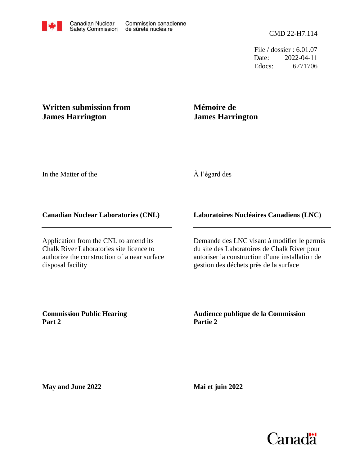File / dossier : 6.01.07 Date: 2022-04-11 Edocs: 6771706

# **Written submission from James Harrington**

# **Mémoire de James Harrington**

In the Matter of the

## À l'égard des

#### **Canadian Nuclear Laboratories (CNL)**

Application from the CNL to amend its Chalk River Laboratories site licence to authorize the construction of a near surface disposal facility

### **Laboratoires Nucléaires Canadiens (LNC)**

Demande des LNC visant à modifier le permis du site des Laboratoires de Chalk River pour autoriser la construction d'une installation de gestion des déchets près de la surface

**Commission Public Hearing Part 2**

### **Audience publique de la Commission Partie 2**

**May and June 2022**

**Mai et juin 2022**

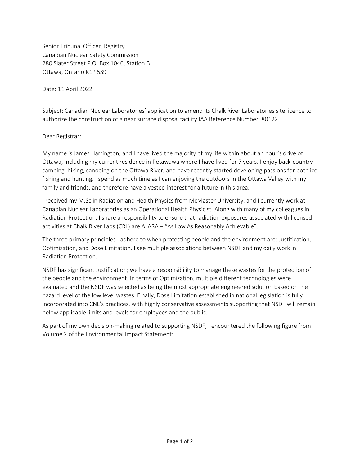Senior Tribunal Officer, Registry Canadian Nuclear Safety Commission 280 Slater Street P.O. Box 1046, Station B Ottawa, Ontario K1P 5S9

Date: 11 April 2022

Subject: Canadian Nuclear Laboratories' application to amend its Chalk River Laboratories site licence to authorize the construction of a near surface disposal facility IAA Reference Number: 80122

Dear Registrar:

My name is James Harrington, and I have lived the majority of my life within about an hour's drive of Ottawa, including my current residence in Petawawa where I have lived for 7 years. I enjoy back-country camping, hiking, canoeing on the Ottawa River, and have recently started developing passions for both ice fishing and hunting. I spend as much time as I can enjoying the outdoors in the Ottawa Valley with my family and friends, and therefore have a vested interest for a future in this area.

I received my M.Sc in Radiation and Health Physics from McMaster University, and I currently work at Canadian Nuclear Laboratories as an Operational Health Physicist. Along with many of my colleagues in Radiation Protection, I share a responsibility to ensure that radiation exposures associated with licensed activities at Chalk River Labs (CRL) are ALARA – "As Low As Reasonably Achievable".

The three primary principles I adhere to when protecting people and the environment are: Justification, Optimization, and Dose Limitation. I see multiple associations between NSDF and my daily work in Radiation Protection.

NSDF has significant Justification; we have a responsibility to manage these wastes for the protection of the people and the environment. In terms of Optimization, multiple different technologies were evaluated and the NSDF was selected as being the most appropriate engineered solution based on the hazard level of the low level wastes. Finally, Dose Limitation established in national legislation is fully incorporated into CNL's practices, with highly conservative assessments supporting that NSDF will remain below applicable limits and levels for employees and the public.

As part of my own decision-making related to supporting NSDF, I encountered the following figure from Volume 2 of the Environmental Impact Statement: